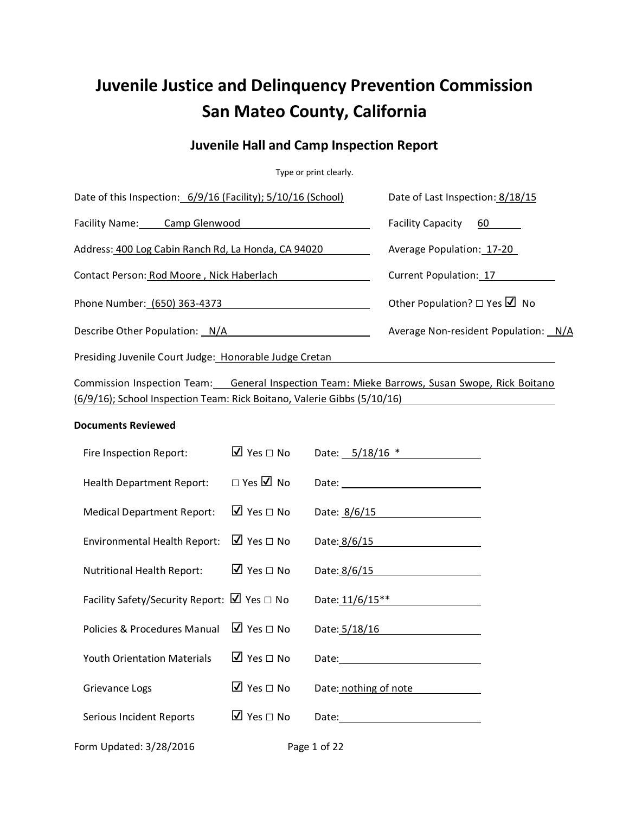# **Juvenile Justice and Delinquency Prevention Commission San Mateo County, California**

## **Juvenile Hall and Camp Inspection Report**

Type or print clearly.

| Date of this Inspection: 6/9/16 (Facility); 5/10/16 (School)                                                                                                                                                                   |                                       |              | Date of Last Inspection: 8/18/15                                                                                                                                                                                               |  |
|--------------------------------------------------------------------------------------------------------------------------------------------------------------------------------------------------------------------------------|---------------------------------------|--------------|--------------------------------------------------------------------------------------------------------------------------------------------------------------------------------------------------------------------------------|--|
| Facility Name: Camp Glenwood Camp Contains the Camp Contains the Camp Contains the Camp Camp Contains the Camp Contains the Camp Contains the Camp Contains the Camp Contains the Camp Contains the Camp Contains the Camp Con |                                       |              | <b>Facility Capacity</b><br>60 — 10                                                                                                                                                                                            |  |
| Address: 400 Log Cabin Ranch Rd, La Honda, CA 94020                                                                                                                                                                            |                                       |              | Average Population: 17-20                                                                                                                                                                                                      |  |
| Contact Person: Rod Moore, Nick Haberlach                                                                                                                                                                                      |                                       |              | Current Population: 17                                                                                                                                                                                                         |  |
| Phone Number: (650) 363-4373                                                                                                                                                                                                   |                                       |              | Other Population? $\Box$ Yes $\Box$ No                                                                                                                                                                                         |  |
| Describe Other Population: N/A                                                                                                                                                                                                 |                                       |              | Average Non-resident Population: N/A                                                                                                                                                                                           |  |
| Presiding Juvenile Court Judge: Honorable Judge Cretan                                                                                                                                                                         |                                       |              |                                                                                                                                                                                                                                |  |
| (6/9/16); School Inspection Team: Rick Boitano, Valerie Gibbs (5/10/16)                                                                                                                                                        |                                       |              | Commission Inspection Team: General Inspection Team: Mieke Barrows, Susan Swope, Rick Boitano                                                                                                                                  |  |
| <b>Documents Reviewed</b>                                                                                                                                                                                                      |                                       |              |                                                                                                                                                                                                                                |  |
| Fire Inspection Report:                                                                                                                                                                                                        | $\overline{2}$ Yes $\Box$ No          |              | Date: 5/18/16 *                                                                                                                                                                                                                |  |
| <b>Health Department Report:</b>                                                                                                                                                                                               | $\Box$ Yes $\Box$ No                  |              |                                                                                                                                                                                                                                |  |
| <b>Medical Department Report:</b>                                                                                                                                                                                              | $\overline{V}$ Yes $\Box$ No          |              | Date: 8/6/15                                                                                                                                                                                                                   |  |
| <b>Environmental Health Report:</b>                                                                                                                                                                                            | $\Box$ Yes $\Box$ No                  |              | Date: 8/6/15                                                                                                                                                                                                                   |  |
| Nutritional Health Report:                                                                                                                                                                                                     | $\Box$ Yes $\Box$ No                  |              | Date: 8/6/15                                                                                                                                                                                                                   |  |
| Facility Safety/Security Report: $\Box$ Yes $\Box$ No                                                                                                                                                                          |                                       |              |                                                                                                                                                                                                                                |  |
| Policies & Procedures Manual                                                                                                                                                                                                   | $\Box$ Yes $\Box$ No                  |              | Date: $5/18/16$                                                                                                                                                                                                                |  |
| <b>Youth Orientation Materials</b>                                                                                                                                                                                             | $\overline{\mathbf{M}}$ Yes $\Box$ No |              | Date: National Contract of the Contract of the Contract of the Contract of the Contract of the Contract of the Contract of the Contract of the Contract of the Contract of the Contract of the Contract of the Contract of the |  |
| Grievance Logs                                                                                                                                                                                                                 | $\overline{M}$ Yes $\Box$ No          |              | Date: nothing of note                                                                                                                                                                                                          |  |
| Serious Incident Reports                                                                                                                                                                                                       | $\overline{\mathbf{y}}$ Yes $\Box$ No |              |                                                                                                                                                                                                                                |  |
| Form Updated: 3/28/2016                                                                                                                                                                                                        |                                       | Page 1 of 22 |                                                                                                                                                                                                                                |  |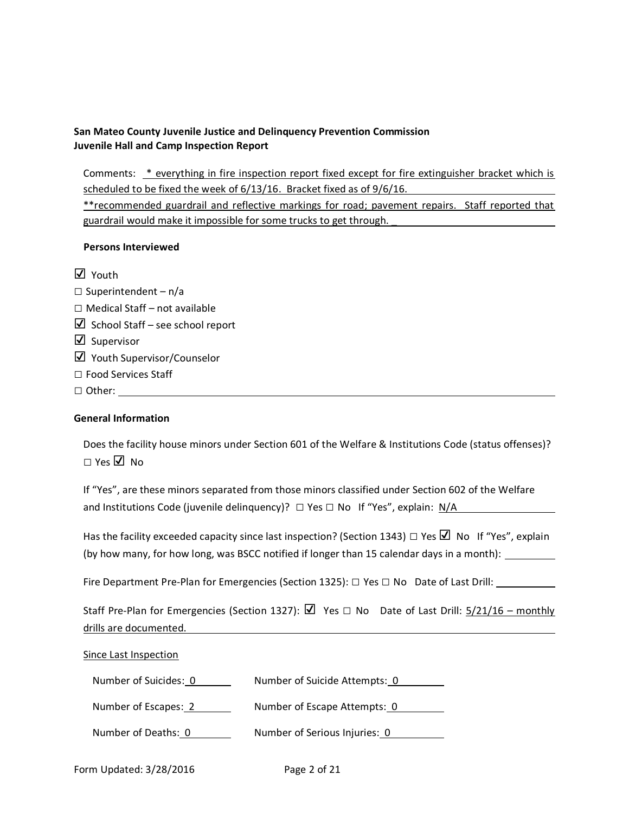Comments: \* everything in fire inspection report fixed except for fire extinguisher bracket which is scheduled to be fixed the week of 6/13/16. Bracket fixed as of 9/6/16.

\*\*recommended guardrail and reflective markings for road; pavement repairs. Staff reported that guardrail would make it impossible for some trucks to get through. \_

### **Persons Interviewed**

☑ Youth  $\square$  Superintendent – n/a □ Medical Staff – not available  $\boxtimes$  School Staff – see school report ☑ Supervisor ☑ Youth Supervisor/Counselor □ Food Services Staff □ Other:

## **General Information**

Does the facility house minors under Section 601 of the Welfare & Institutions Code (status offenses)? □ Yes ☑ No

If "Yes", are these minors separated from those minors classified under Section 602 of the Welfare and Institutions Code (juvenile delinquency)?  $\Box$  Yes  $\Box$  No If "Yes", explain: N/A

Has the facility exceeded capacity since last inspection? (Section 1343)  $\Box$  Yes  $\Box$  No If "Yes", explain (by how many, for how long, was BSCC notified if longer than 15 calendar days in a month):

Fire Department Pre-Plan for Emergencies (Section 1325): □ Yes □ No Date of Last Drill:

| Staff Pre-Plan for Emergencies (Section 1327): $\boxtimes$ Yes $\Box$ No Date of Last Drill: 5/21/16 – monthly |  |
|----------------------------------------------------------------------------------------------------------------|--|
| drills are documented.                                                                                         |  |

Since Last Inspection Number of Suicides: 0 Number of Suicide Attempts: 0 Number of Escapes: 2 Number of Escape Attempts: 0

Number of Deaths: 0 Number of Serious Injuries: 0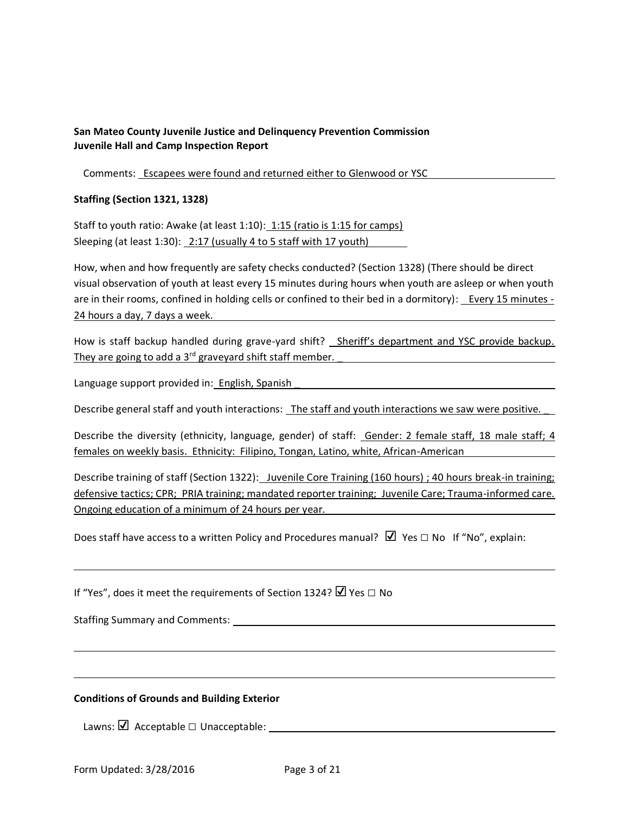Comments: Escapees were found and returned either to Glenwood or YSC

#### **Staffing (Section 1321, 1328)**

Staff to youth ratio: Awake (at least 1:10): 1:15 (ratio is 1:15 for camps) Sleeping (at least 1:30): 2:17 (usually 4 to 5 staff with 17 youth)

How, when and how frequently are safety checks conducted? (Section 1328) (There should be direct visual observation of youth at least every 15 minutes during hours when youth are asleep or when youth are in their rooms, confined in holding cells or confined to their bed in a dormitory): Every 15 minutes - 24 hours a day, 7 days a week.

How is staff backup handled during grave-yard shift? Sheriff's department and YSC provide backup. They are going to add a 3<sup>rd</sup> graveyard shift staff member.

Language support provided in: English, Spanish

Describe general staff and youth interactions: The staff and youth interactions we saw were positive.

Describe the diversity (ethnicity, language, gender) of staff: Gender: 2 female staff, 18 male staff; 4 females on weekly basis. Ethnicity: Filipino, Tongan, Latino, white, African-American

Describe training of staff (Section 1322): Juvenile Core Training (160 hours) ; 40 hours break-in training; defensive tactics; CPR; PRIA training; mandated reporter training; Juvenile Care; Trauma-informed care. Ongoing education of a minimum of 24 hours per year. \_

Does staff have access to a written Policy and Procedures manual?  $\Box$  Yes  $\Box$  No If "No", explain:

If "Yes", does it meet the requirements of Section 1324? Ø Yes □ No

Staffing Summary and Comments:

#### **Conditions of Grounds and Building Exterior**

Lawns: **☑** Acceptable □ Unacceptable: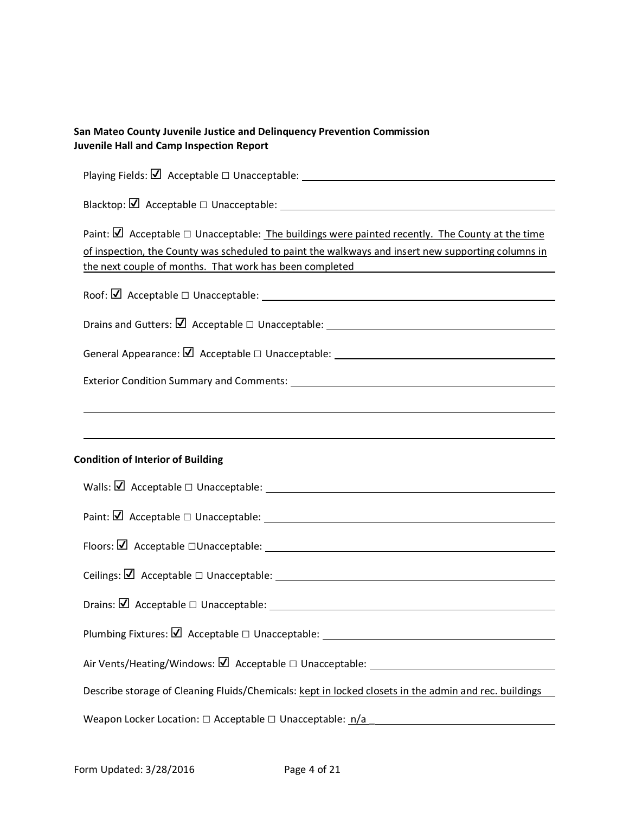| Paint: $\Box$ Acceptable $\Box$ Unacceptable: The buildings were painted recently. The County at the time<br>of inspection, the County was scheduled to paint the walkways and insert new supporting columns in<br>the next couple of months. That work has been completed |  |  |  |  |  |
|----------------------------------------------------------------------------------------------------------------------------------------------------------------------------------------------------------------------------------------------------------------------------|--|--|--|--|--|
|                                                                                                                                                                                                                                                                            |  |  |  |  |  |
|                                                                                                                                                                                                                                                                            |  |  |  |  |  |
|                                                                                                                                                                                                                                                                            |  |  |  |  |  |
|                                                                                                                                                                                                                                                                            |  |  |  |  |  |
|                                                                                                                                                                                                                                                                            |  |  |  |  |  |
|                                                                                                                                                                                                                                                                            |  |  |  |  |  |
|                                                                                                                                                                                                                                                                            |  |  |  |  |  |
| <b>Condition of Interior of Building</b>                                                                                                                                                                                                                                   |  |  |  |  |  |
|                                                                                                                                                                                                                                                                            |  |  |  |  |  |
|                                                                                                                                                                                                                                                                            |  |  |  |  |  |
|                                                                                                                                                                                                                                                                            |  |  |  |  |  |
|                                                                                                                                                                                                                                                                            |  |  |  |  |  |
|                                                                                                                                                                                                                                                                            |  |  |  |  |  |
|                                                                                                                                                                                                                                                                            |  |  |  |  |  |
|                                                                                                                                                                                                                                                                            |  |  |  |  |  |
| Describe storage of Cleaning Fluids/Chemicals: kept in locked closets in the admin and rec. buildings                                                                                                                                                                      |  |  |  |  |  |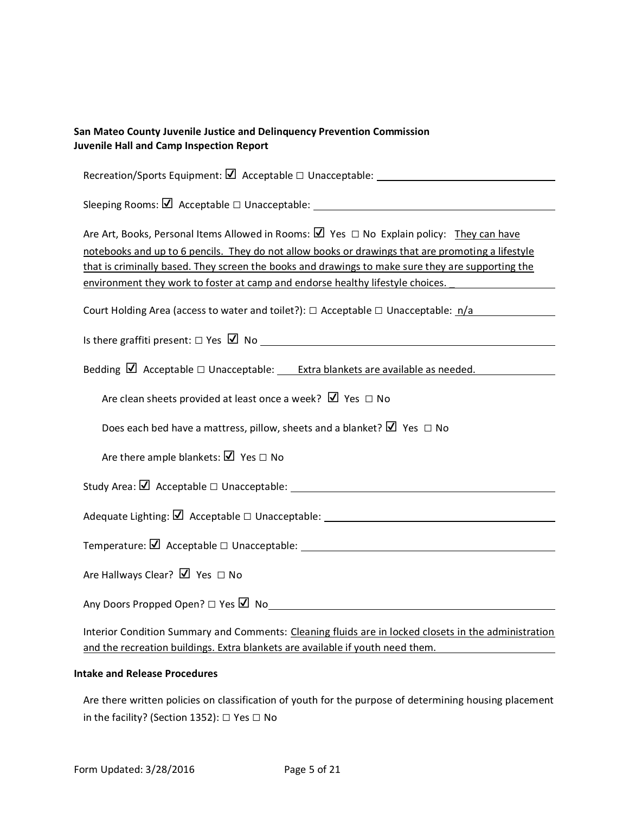| San Mateo County Juvenile Justice and Delinquency Prevention Commission<br>Juvenile Hall and Camp Inspection Report                                                                                                                                                                                                                                                                                  |  |  |  |  |
|------------------------------------------------------------------------------------------------------------------------------------------------------------------------------------------------------------------------------------------------------------------------------------------------------------------------------------------------------------------------------------------------------|--|--|--|--|
|                                                                                                                                                                                                                                                                                                                                                                                                      |  |  |  |  |
|                                                                                                                                                                                                                                                                                                                                                                                                      |  |  |  |  |
| Are Art, Books, Personal Items Allowed in Rooms: $\boxtimes$ Yes $\Box$ No Explain policy: They can have<br>notebooks and up to 6 pencils. They do not allow books or drawings that are promoting a lifestyle<br>that is criminally based. They screen the books and drawings to make sure they are supporting the<br>environment they work to foster at camp and endorse healthy lifestyle choices. |  |  |  |  |
| Court Holding Area (access to water and toilet?): $\Box$ Acceptable $\Box$ Unacceptable: $\Box/a$                                                                                                                                                                                                                                                                                                    |  |  |  |  |
| Is there graffiti present: $\Box$ Yes $\Box$ No                                                                                                                                                                                                                                                                                                                                                      |  |  |  |  |
| Bedding $\boxtimes$ Acceptable $\Box$ Unacceptable: <u>Extra blankets are available as needed.</u>                                                                                                                                                                                                                                                                                                   |  |  |  |  |
| Are clean sheets provided at least once a week? $\Box$ Yes $\Box$ No                                                                                                                                                                                                                                                                                                                                 |  |  |  |  |
| Does each bed have a mattress, pillow, sheets and a blanket? $\Box$ Yes $\Box$ No                                                                                                                                                                                                                                                                                                                    |  |  |  |  |
| Are there ample blankets: $\Box$ Yes $\Box$ No                                                                                                                                                                                                                                                                                                                                                       |  |  |  |  |
|                                                                                                                                                                                                                                                                                                                                                                                                      |  |  |  |  |
|                                                                                                                                                                                                                                                                                                                                                                                                      |  |  |  |  |
|                                                                                                                                                                                                                                                                                                                                                                                                      |  |  |  |  |
| Are Hallways Clear? $\Box$ Yes $\Box$ No                                                                                                                                                                                                                                                                                                                                                             |  |  |  |  |
|                                                                                                                                                                                                                                                                                                                                                                                                      |  |  |  |  |
| Interior Condition Summary and Comments: Cleaning fluids are in locked closets in the administration                                                                                                                                                                                                                                                                                                 |  |  |  |  |

#### **Intake and Release Procedures**

Are there written policies on classification of youth for the purpose of determining housing placement in the facility? (Section 1352): □ Yes □ No

and the recreation buildings. Extra blankets are available if youth need them.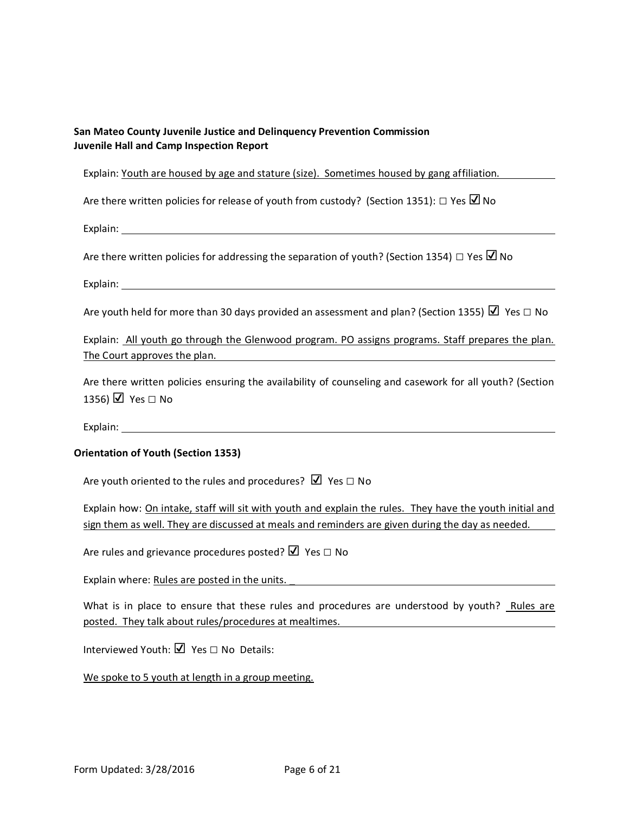Explain: Youth are housed by age and stature (size). Sometimes housed by gang affiliation.

Are there written policies for release of youth from custody? (Section 1351):  $\Box$  Yes  $\Box$  No

Explain: The contract of the contract of the contract of the contract of the contract of the contract of the contract of the contract of the contract of the contract of the contract of the contract of the contract of the c

Are there written policies for addressing the separation of youth? (Section 1354)  $\Box$  Yes  $\Box$  No

Explain:

Are youth held for more than 30 days provided an assessment and plan? (Section 1355)  $\Box$  Yes  $\Box$  No

Explain: All youth go through the Glenwood program. PO assigns programs. Staff prepares the plan. The Court approves the plan.

Are there written policies ensuring the availability of counseling and casework for all youth? (Section 1356)  $\Box$  Yes  $\Box$  No

Explain: The contract of the contract of the contract of the contract of the contract of the contract of the contract of the contract of the contract of the contract of the contract of the contract of the contract of the c

### **Orientation of Youth (Section 1353)**

Are youth oriented to the rules and procedures?  $\Box$  Yes  $\Box$  No

Explain how: On intake, staff will sit with youth and explain the rules. They have the youth initial and sign them as well. They are discussed at meals and reminders are given during the day as needed.

Are rules and grievance procedures posted?  $\Box$  Yes  $\Box$  No

Explain where: Rules are posted in the units.

What is in place to ensure that these rules and procedures are understood by youth? Rules are posted. They talk about rules/procedures at mealtimes.

Interviewed Youth: ☑ Yes □ No Details:

We spoke to 5 youth at length in a group meeting.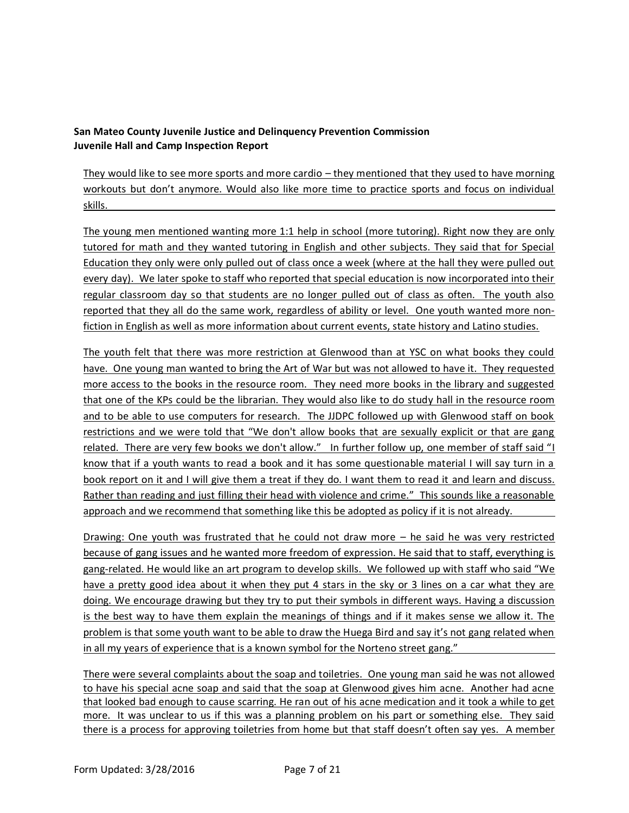They would like to see more sports and more cardio – they mentioned that they used to have morning workouts but don't anymore. Would also like more time to practice sports and focus on individual skills. \_

The young men mentioned wanting more 1:1 help in school (more tutoring). Right now they are only tutored for math and they wanted tutoring in English and other subjects. They said that for Special Education they only were only pulled out of class once a week (where at the hall they were pulled out every day). We later spoke to staff who reported that special education is now incorporated into their regular classroom day so that students are no longer pulled out of class as often. The youth also reported that they all do the same work, regardless of ability or level. One youth wanted more nonfiction in English as well as more information about current events, state history and Latino studies.

The youth felt that there was more restriction at Glenwood than at YSC on what books they could have. One young man wanted to bring the Art of War but was not allowed to have it. They requested more access to the books in the resource room. They need more books in the library and suggested that one of the KPs could be the librarian. They would also like to do study hall in the resource room and to be able to use computers for research. The JJDPC followed up with Glenwood staff on book restrictions and we were told that "We don't allow books that are sexually explicit or that are gang related. There are very few books we don't allow." In further follow up, one member of staff said "I know that if a youth wants to read a book and it has some questionable material I will say turn in a book report on it and I will give them a treat if they do. I want them to read it and learn and discuss. Rather than reading and just filling their head with violence and crime." This sounds like a reasonable approach and we recommend that something like this be adopted as policy if it is not already.

Drawing: One youth was frustrated that he could not draw more – he said he was very restricted because of gang issues and he wanted more freedom of expression. He said that to staff, everything is gang-related. He would like an art program to develop skills. We followed up with staff who said "We have a pretty good idea about it when they put 4 stars in the sky or 3 lines on a car what they are doing. We encourage drawing but they try to put their symbols in different ways. Having a discussion is the best way to have them explain the meanings of things and if it makes sense we allow it. The problem is that some youth want to be able to draw the Huega Bird and say it's not gang related when in all my years of experience that is a known symbol for the Norteno street gang."

There were several complaints about the soap and toiletries. One young man said he was not allowed to have his special acne soap and said that the soap at Glenwood gives him acne. Another had acne that looked bad enough to cause scarring. He ran out of his acne medication and it took a while to get more. It was unclear to us if this was a planning problem on his part or something else. They said there is a process for approving toiletries from home but that staff doesn't often say yes. A member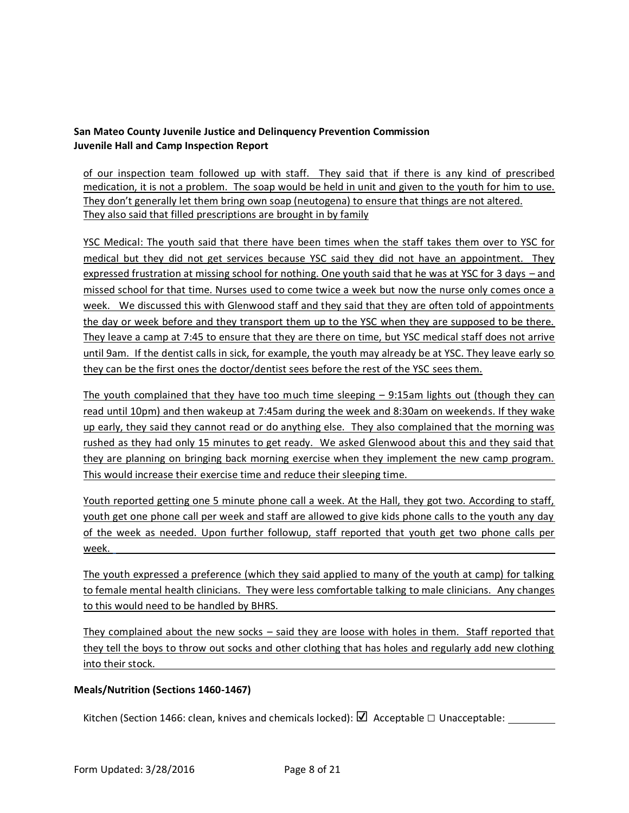of our inspection team followed up with staff. They said that if there is any kind of prescribed medication, it is not a problem. The soap would be held in unit and given to the youth for him to use. They don't generally let them bring own soap (neutogena) to ensure that things are not altered. They also said that filled prescriptions are brought in by family

YSC Medical: The youth said that there have been times when the staff takes them over to YSC for medical but they did not get services because YSC said they did not have an appointment. They expressed frustration at missing school for nothing. One youth said that he was at YSC for 3 days – and missed school for that time. Nurses used to come twice a week but now the nurse only comes once a week. We discussed this with Glenwood staff and they said that they are often told of appointments the day or week before and they transport them up to the YSC when they are supposed to be there. They leave a camp at 7:45 to ensure that they are there on time, but YSC medical staff does not arrive until 9am. If the dentist calls in sick, for example, the youth may already be at YSC. They leave early so they can be the first ones the doctor/dentist sees before the rest of the YSC sees them.

The youth complained that they have too much time sleeping  $-$  9:15am lights out (though they can read until 10pm) and then wakeup at 7:45am during the week and 8:30am on weekends. If they wake up early, they said they cannot read or do anything else. They also complained that the morning was rushed as they had only 15 minutes to get ready. We asked Glenwood about this and they said that they are planning on bringing back morning exercise when they implement the new camp program. This would increase their exercise time and reduce their sleeping time.

Youth reported getting one 5 minute phone call a week. At the Hall, they got two. According to staff, youth get one phone call per week and staff are allowed to give kids phone calls to the youth any day of the week as needed. Upon further followup, staff reported that youth get two phone calls per week.

The youth expressed a preference (which they said applied to many of the youth at camp) for talking to female mental health clinicians. They were less comfortable talking to male clinicians. Any changes to this would need to be handled by BHRS.

They complained about the new socks – said they are loose with holes in them. Staff reported that they tell the boys to throw out socks and other clothing that has holes and regularly add new clothing into their stock.

## **Meals/Nutrition (Sections 1460-1467)**

Kitchen (Section 1466: clean, knives and chemicals locked): ☑ Acceptable □ Unacceptable: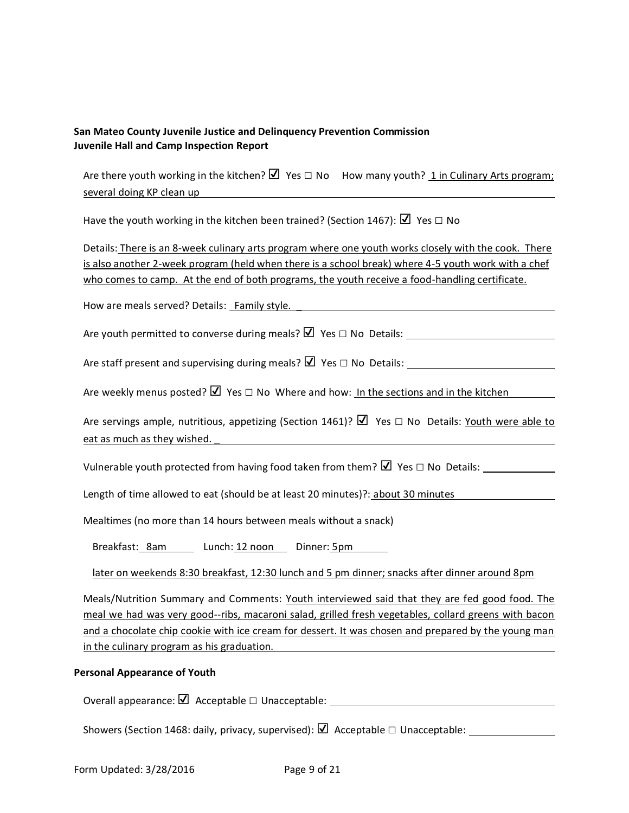Are there youth working in the kitchen?  $\Box$  Yes  $\Box$  No How many youth? 1 in Culinary Arts program; several doing KP clean up

Have the youth working in the kitchen been trained? (Section 1467):  $\Box$  Yes  $\Box$  No

Details: There is an 8-week culinary arts program where one youth works closely with the cook. There is also another 2-week program (held when there is a school break) where 4-5 youth work with a chef who comes to camp. At the end of both programs, the youth receive a food-handling certificate.

How are meals served? Details: Family style. \_

Are youth permitted to converse during meals?  $\boxtimes$  Yes  $\Box$  No Details:

Are staff present and supervising during meals?  $\boxtimes$  Yes  $\Box$  No Details:

Are weekly menus posted?  $\Box$  Yes  $\Box$  No Where and how: In the sections and in the kitchen

Are servings ample, nutritious, appetizing (Section 1461)?  $\Box$  Yes  $\Box$  No Details: Youth were able to eat as much as they wished.

Vulnerable youth protected from having food taken from them?  $\Box$  Yes  $\Box$  No Details:

Length of time allowed to eat (should be at least 20 minutes)?: about 30 minutes

Mealtimes (no more than 14 hours between meals without a snack)

Breakfast: 8am Lunch: 12 noon Dinner: 5pm

later on weekends 8:30 breakfast, 12:30 lunch and 5 pm dinner; snacks after dinner around 8pm

Meals/Nutrition Summary and Comments: Youth interviewed said that they are fed good food. The meal we had was very good--ribs, macaroni salad, grilled fresh vegetables, collard greens with bacon and a chocolate chip cookie with ice cream for dessert. It was chosen and prepared by the young man in the culinary program as his graduation.

### **Personal Appearance of Youth**

Overall appearance:  $\Box$  Acceptable  $\Box$  Unacceptable:

Showers (Section 1468: daily, privacy, supervised):  $\Box$  Acceptable  $\Box$  Unacceptable: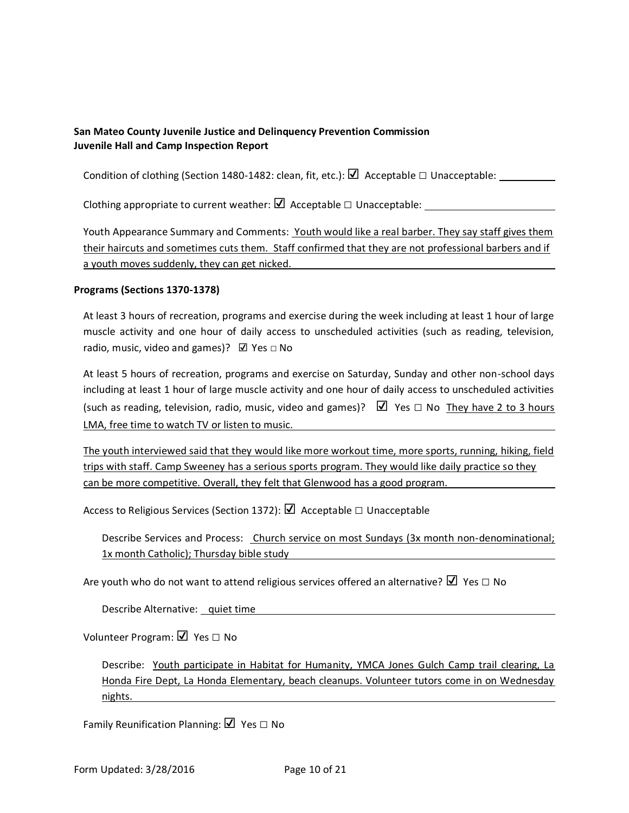Condition of clothing (Section 1480-1482: clean, fit, etc.):  $\Box$  Acceptable  $\Box$  Unacceptable:

Clothing appropriate to current weather:  $\Box$  Acceptable  $\Box$  Unacceptable:

Youth Appearance Summary and Comments: Youth would like a real barber. They say staff gives them their haircuts and sometimes cuts them. Staff confirmed that they are not professional barbers and if a youth moves suddenly, they can get nicked.

#### **Programs (Sections 1370-1378)**

At least 3 hours of recreation, programs and exercise during the week including at least 1 hour of large muscle activity and one hour of daily access to unscheduled activities (such as reading, television, radio, music, video and games)?  $\Box$  Yes  $\Box$  No

At least 5 hours of recreation, programs and exercise on Saturday, Sunday and other non-school days including at least 1 hour of large muscle activity and one hour of daily access to unscheduled activities (such as reading, television, radio, music, video and games)?  $\Box$  Yes  $\Box$  No They have 2 to 3 hours LMA, free time to watch TV or listen to music.

The youth interviewed said that they would like more workout time, more sports, running, hiking, field trips with staff. Camp Sweeney has a serious sports program. They would like daily practice so they can be more competitive. Overall, they felt that Glenwood has a good program.

Access to Religious Services (Section 1372):  $\Box$  Acceptable  $\Box$  Unacceptable

Describe Services and Process: Church service on most Sundays (3x month non-denominational; 1x month Catholic); Thursday bible study

Are youth who do not want to attend religious services offered an alternative?  $\Box$  Yes  $\Box$  No

Describe Alternative: quiet time

Volunteer Program: ☑ Yes □ No

Describe: Youth participate in Habitat for Humanity, YMCA Jones Gulch Camp trail clearing, La Honda Fire Dept, La Honda Elementary, beach cleanups. Volunteer tutors come in on Wednesday nights.

Family Reunification Planning: ☑ Yes □ No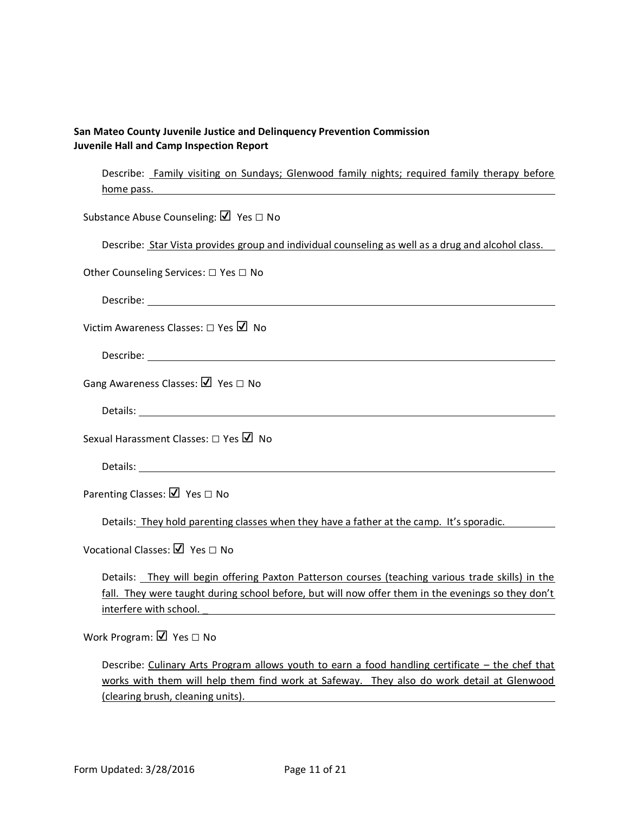Describe: Family visiting on Sundays; Glenwood family nights; required family therapy before home pass.

Substance Abuse Counseling: Ø Yes □ No

Describe: Star Vista provides group and individual counseling as well as a drug and alcohol class.

Other Counseling Services: □ Yes □ No

Describe:

Victim Awareness Classes: □ Yes ■ No

Describe:

Gang Awareness Classes: ☑ Yes □ No

Details: The contract of the contract of the contract of the contract of the contract of the contract of the contract of the contract of the contract of the contract of the contract of the contract of the contract of the c

Sexual Harassment Classes: □ Yes ■ No

Details: when the contract of the contract of the contract of the contract of the contract of the contract of the contract of the contract of the contract of the contract of the contract of the contract of the contract of

Parenting Classes: Ø Yes □ No

Details: They hold parenting classes when they have a father at the camp. It's sporadic.

Vocational Classes: V Yes □ No

Details: They will begin offering Paxton Patterson courses (teaching various trade skills) in the fall. They were taught during school before, but will now offer them in the evenings so they don't interfere with school. \_

Work Program: Ø Yes □ No

Describe: Culinary Arts Program allows youth to earn a food handling certificate – the chef that works with them will help them find work at Safeway. They also do work detail at Glenwood (clearing brush, cleaning units).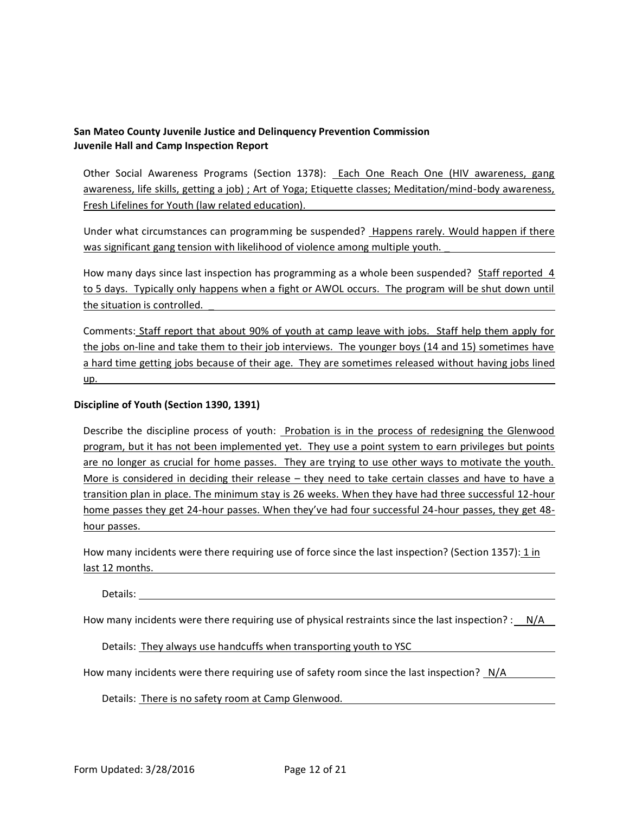Other Social Awareness Programs (Section 1378): Each One Reach One (HIV awareness, gang awareness, life skills, getting a job) ; Art of Yoga; Etiquette classes; Meditation/mind-body awareness, Fresh Lifelines for Youth (law related education).

Under what circumstances can programming be suspended? Happens rarely. Would happen if there was significant gang tension with likelihood of violence among multiple youth.

How many days since last inspection has programming as a whole been suspended? Staff reported 4 to 5 days. Typically only happens when a fight or AWOL occurs. The program will be shut down until the situation is controlled. \_

Comments: Staff report that about 90% of youth at camp leave with jobs. Staff help them apply for the jobs on-line and take them to their job interviews. The younger boys (14 and 15) sometimes have a hard time getting jobs because of their age. They are sometimes released without having jobs lined up.

#### **Discipline of Youth (Section 1390, 1391)**

Describe the discipline process of youth: Probation is in the process of redesigning the Glenwood program, but it has not been implemented yet. They use a point system to earn privileges but points are no longer as crucial for home passes. They are trying to use other ways to motivate the youth. More is considered in deciding their release – they need to take certain classes and have to have a transition plan in place. The minimum stay is 26 weeks. When they have had three successful 12-hour home passes they get 24-hour passes. When they've had four successful 24-hour passes, they get 48 hour passes.

How many incidents were there requiring use of force since the last inspection? (Section 1357): 1 in last 12 months.

Details:

How many incidents were there requiring use of physical restraints since the last inspection? : N/A

Details: They always use handcuffs when transporting youth to YSC

How many incidents were there requiring use of safety room since the last inspection? N/A

Details: There is no safety room at Camp Glenwood.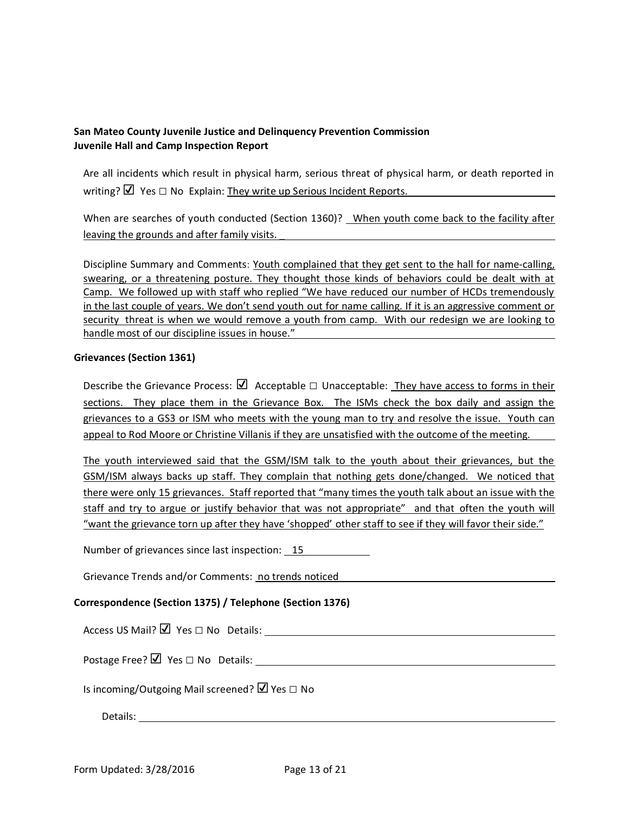Are all incidents which result in physical harm, serious threat of physical harm, or death reported in writing?  $\Box$  Yes  $\Box$  No Explain: They write up Serious Incident Reports.

When are searches of youth conducted (Section 1360)? When youth come back to the facility after leaving the grounds and after family visits.

Discipline Summary and Comments: Youth complained that they get sent to the hall for name-calling, swearing, or a threatening posture. They thought those kinds of behaviors could be dealt with at Camp. We followed up with staff who replied "We have reduced our number of HCDs tremendously in the last couple of years. We don't send youth out for name calling. If it is an aggressive comment or security threat is when we would remove a youth from camp. With our redesign we are looking to handle most of our discipline issues in house."

### **Grievances (Section 1361)**

Describe the Grievance Process:  $\Box$  Acceptable  $\Box$  Unacceptable: They have access to forms in their sections. They place them in the Grievance Box. The ISMs check the box daily and assign the grievances to a GS3 or ISM who meets with the young man to try and resolve the issue. Youth can appeal to Rod Moore or Christine Villanis if they are unsatisfied with the outcome of the meeting.

The youth interviewed said that the GSM/ISM talk to the youth about their grievances, but the GSM/ISM always backs up staff. They complain that nothing gets done/changed. We noticed that there were only 15 grievances. Staff reported that "many times the youth talk about an issue with the staff and try to argue or justify behavior that was not appropriate" and that often the youth will "want the grievance torn up after they have 'shopped' other staff to see if they will favor their side."

Number of grievances since last inspection: 15

Grievance Trends and/or Comments: no trends noticed

### **Correspondence (Section 1375) / Telephone (Section 1376)**

Access US Mail?  $\Box$  Yes  $\Box$  No Details:

Postage Free?  $\boxtimes$  Yes  $\square$  No Details:

Is incoming/Outgoing Mail screened? Ø Yes □ No

Details: The contract of the contract of the contract of the contract of the contract of the contract of the contract of the contract of the contract of the contract of the contract of the contract of the contract of the c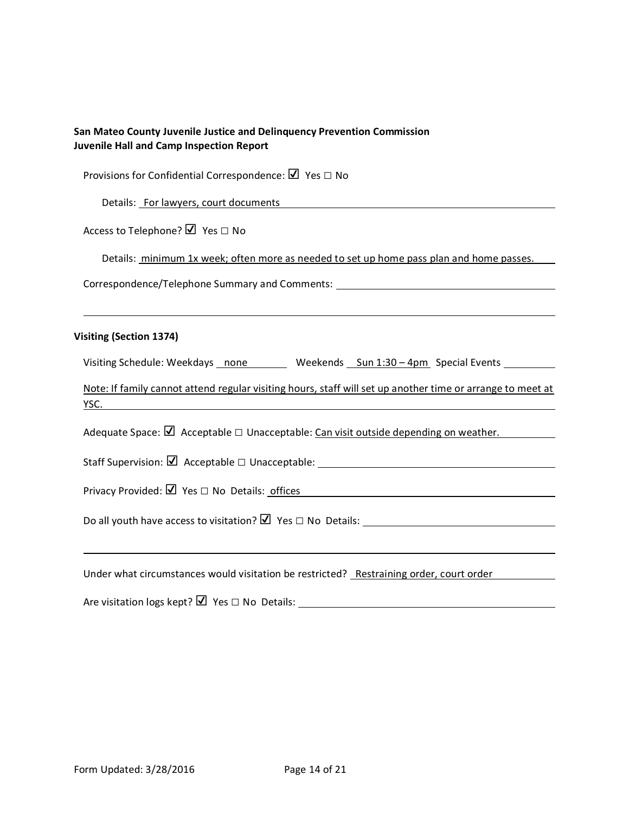| San Mateo County Juvenile Justice and Delinquency Prevention Commission<br><b>Juvenile Hall and Camp Inspection Report</b> |  |  |  |  |  |
|----------------------------------------------------------------------------------------------------------------------------|--|--|--|--|--|
| Provisions for Confidential Correspondence: $\Box$ Yes $\Box$ No                                                           |  |  |  |  |  |
| Details: For lawyers, court documents                                                                                      |  |  |  |  |  |
| Access to Telephone? Ø Yes □ No                                                                                            |  |  |  |  |  |
| Details: minimum 1x week; often more as needed to set up home pass plan and home passes.                                   |  |  |  |  |  |
| Correspondence/Telephone Summary and Comments: _________________________________                                           |  |  |  |  |  |
|                                                                                                                            |  |  |  |  |  |
| <b>Visiting (Section 1374)</b>                                                                                             |  |  |  |  |  |
| Visiting Schedule: Weekdays ______________________Weekends ____Sun 1:30 - 4pm__Special Events ____________                 |  |  |  |  |  |
| Note: If family cannot attend regular visiting hours, staff will set up another time or arrange to meet at                 |  |  |  |  |  |
| Adequate Space: $\Box$ Acceptable $\Box$ Unacceptable: Can visit outside depending on weather.                             |  |  |  |  |  |
|                                                                                                                            |  |  |  |  |  |
|                                                                                                                            |  |  |  |  |  |
|                                                                                                                            |  |  |  |  |  |
|                                                                                                                            |  |  |  |  |  |
| Under what circumstances would visitation be restricted? Restraining order, court order                                    |  |  |  |  |  |
| <u>—</u>                                                                                                                   |  |  |  |  |  |

Are visitation logs kept? ■ Yes □ No Details: \_\_\_\_\_\_\_\_\_\_\_\_\_\_\_\_\_\_\_\_\_\_\_\_\_\_\_\_\_\_\_\_\_\_\_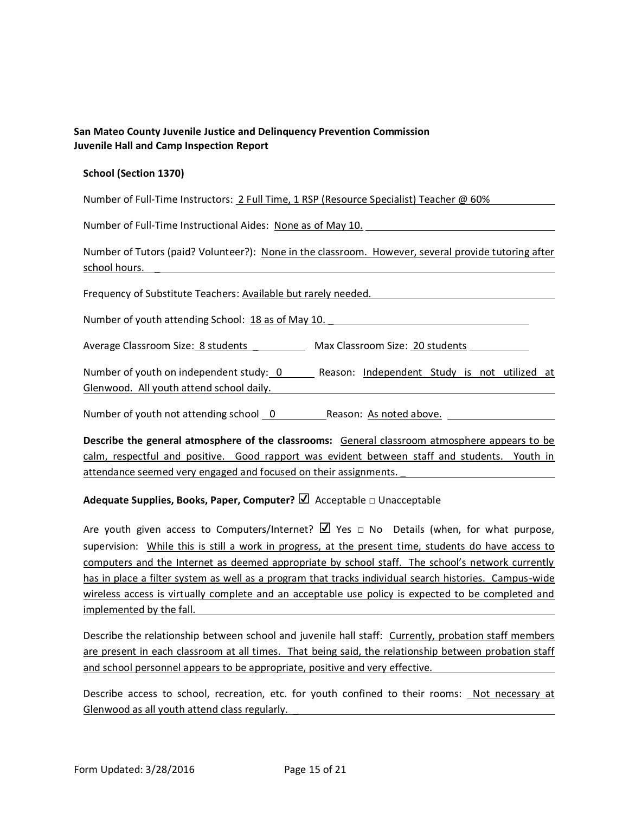#### **School (Section 1370)**

Number of Full-Time Instructors: 2 Full Time, 1 RSP (Resource Specialist) Teacher @ 60%

Number of Full-Time Instructional Aides: None as of May 10.

Number of Tutors (paid? Volunteer?): None in the classroom. However, several provide tutoring after school hours. \_

Frequency of Substitute Teachers: Available but rarely needed.

Number of youth attending School: 18 as of May 10.

Average Classroom Size: 8 students \_\_\_\_\_\_\_\_\_\_\_ Max Classroom Size: 20 students

Number of youth on independent study: 0 \_\_\_\_\_\_ Reason: Independent Study is not utilized at Glenwood. All youth attend school daily.

Number of youth not attending school 0 Reason: As noted above.

**Describe the general atmosphere of the classrooms:** General classroom atmosphere appears to be calm, respectful and positive. Good rapport was evident between staff and students. Youth in attendance seemed very engaged and focused on their assignments. \_

### **Adequate Supplies, Books, Paper, Computer?** ☑ Acceptable □ Unacceptable

Are youth given access to Computers/Internet?  $\Box$  Yes  $\Box$  No Details (when, for what purpose, supervision: While this is still a work in progress, at the present time, students do have access to computers and the Internet as deemed appropriate by school staff. The school's network currently has in place a filter system as well as a program that tracks individual search histories. Campus-wide wireless access is virtually complete and an acceptable use policy is expected to be completed and implemented by the fall.

Describe the relationship between school and juvenile hall staff: Currently, probation staff members are present in each classroom at all times. That being said, the relationship between probation staff and school personnel appears to be appropriate, positive and very effective.

Describe access to school, recreation, etc. for youth confined to their rooms: Not necessary at Glenwood as all youth attend class regularly. \_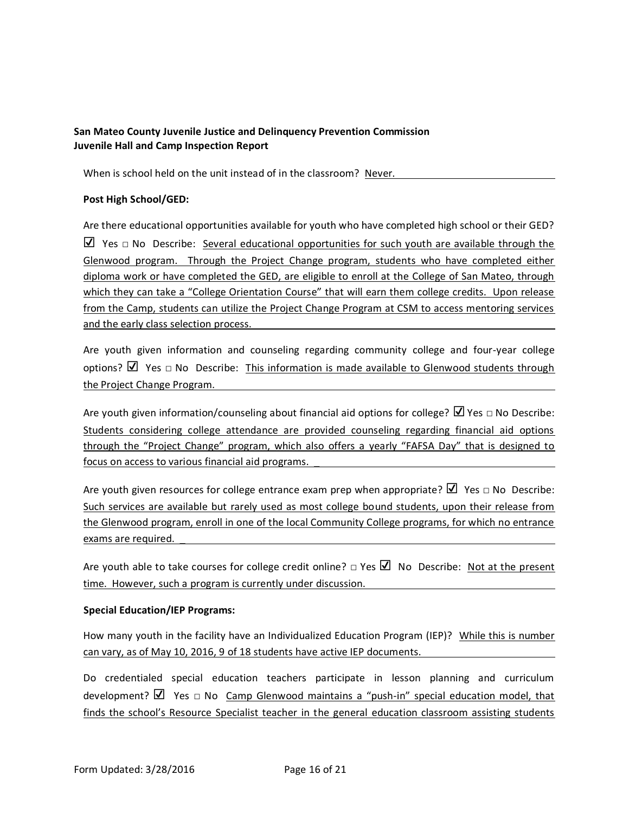When is school held on the unit instead of in the classroom? Never.

#### **Post High School/GED:**

Are there educational opportunities available for youth who have completed high school or their GED?  $\triangledown$  Yes  $\Box$  No Describe: Several educational opportunities for such youth are available through the Glenwood program. Through the Project Change program, students who have completed either diploma work or have completed the GED, are eligible to enroll at the College of San Mateo, through which they can take a "College Orientation Course" that will earn them college credits. Upon release from the Camp, students can utilize the Project Change Program at CSM to access mentoring services and the early class selection process.

Are youth given information and counseling regarding community college and four-year college options?  $\Box$  Yes  $\Box$  No Describe: This information is made available to Glenwood students through the Project Change Program.

Are youth given information/counseling about financial aid options for college?  $\Box$  Yes  $\Box$  No Describe: Students considering college attendance are provided counseling regarding financial aid options through the "Project Change" program, which also offers a yearly "FAFSA Day" that is designed to focus on access to various financial aid programs. \_

Are youth given resources for college entrance exam prep when appropriate?  $\Box$  Yes  $\Box$  No Describe: Such services are available but rarely used as most college bound students, upon their release from the Glenwood program, enroll in one of the local Community College programs, for which no entrance exams are required. \_

Are youth able to take courses for college credit online?  $\Box$  Yes  $\Box$  No Describe: Not at the present time. However, such a program is currently under discussion.

#### **Special Education/IEP Programs:**

How many youth in the facility have an Individualized Education Program (IEP)? While this is number can vary, as of May 10, 2016, 9 of 18 students have active IEP documents.

Do credentialed special education teachers participate in lesson planning and curriculum development?  $\Box$  Yes  $\Box$  No Camp Glenwood maintains a "push-in" special education model, that finds the school's Resource Specialist teacher in the general education classroom assisting students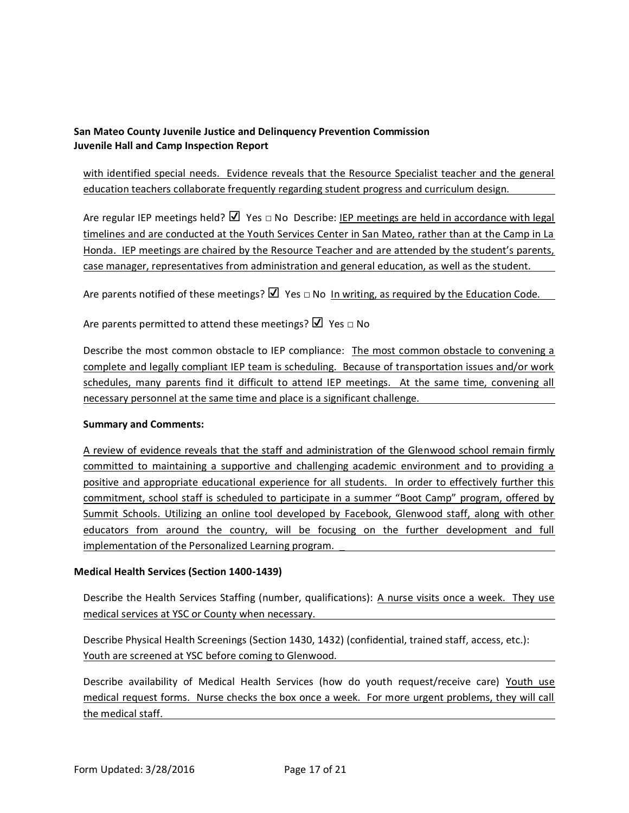with identified special needs. Evidence reveals that the Resource Specialist teacher and the general education teachers collaborate frequently regarding student progress and curriculum design.

Are regular IEP meetings held? Ø Yes □ No Describe: IEP meetings are held in accordance with legal timelines and are conducted at the Youth Services Center in San Mateo, rather than at the Camp in La Honda. IEP meetings are chaired by the Resource Teacher and are attended by the student's parents, case manager, representatives from administration and general education, as well as the student.

Are parents notified of these meetings?  $\boxtimes$  Yes  $\Box$  No In writing, as required by the Education Code.

Are parents permitted to attend these meetings?  $\Box$  Yes  $\Box$  No

Describe the most common obstacle to IEP compliance: The most common obstacle to convening a complete and legally compliant IEP team is scheduling. Because of transportation issues and/or work schedules, many parents find it difficult to attend IEP meetings. At the same time, convening all necessary personnel at the same time and place is a significant challenge.

#### **Summary and Comments:**

A review of evidence reveals that the staff and administration of the Glenwood school remain firmly committed to maintaining a supportive and challenging academic environment and to providing a positive and appropriate educational experience for all students. In order to effectively further this commitment, school staff is scheduled to participate in a summer "Boot Camp" program, offered by Summit Schools. Utilizing an online tool developed by Facebook, Glenwood staff, along with other educators from around the country, will be focusing on the further development and full implementation of the Personalized Learning program.

#### **Medical Health Services (Section 1400-1439)**

Describe the Health Services Staffing (number, qualifications): A nurse visits once a week. They use medical services at YSC or County when necessary.

Describe Physical Health Screenings (Section 1430, 1432) (confidential, trained staff, access, etc.): Youth are screened at YSC before coming to Glenwood.

Describe availability of Medical Health Services (how do youth request/receive care) Youth use medical request forms. Nurse checks the box once a week. For more urgent problems, they will call the medical staff.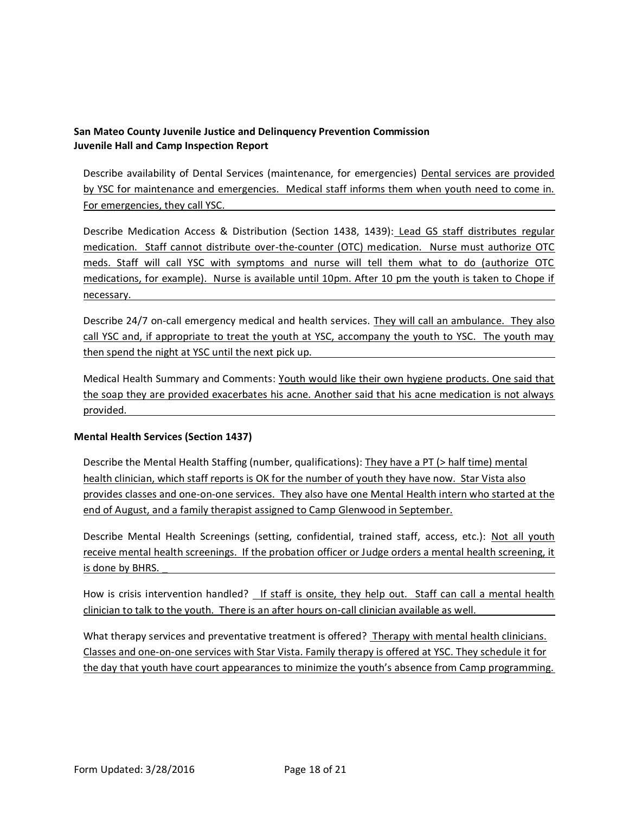Describe availability of Dental Services (maintenance, for emergencies) Dental services are provided by YSC for maintenance and emergencies. Medical staff informs them when youth need to come in. For emergencies, they call YSC.

Describe Medication Access & Distribution (Section 1438, 1439): Lead GS staff distributes regular medication. Staff cannot distribute over-the-counter (OTC) medication. Nurse must authorize OTC meds. Staff will call YSC with symptoms and nurse will tell them what to do (authorize OTC medications, for example). Nurse is available until 10pm. After 10 pm the youth is taken to Chope if necessary.

Describe 24/7 on-call emergency medical and health services. They will call an ambulance. They also call YSC and, if appropriate to treat the youth at YSC, accompany the youth to YSC. The youth may then spend the night at YSC until the next pick up.

Medical Health Summary and Comments: Youth would like their own hygiene products. One said that the soap they are provided exacerbates his acne. Another said that his acne medication is not always provided.

### **Mental Health Services (Section 1437)**

Describe the Mental Health Staffing (number, qualifications): They have a PT (> half time) mental health clinician, which staff reports is OK for the number of youth they have now. Star Vista also provides classes and one-on-one services. They also have one Mental Health intern who started at the end of August, and a family therapist assigned to Camp Glenwood in September.

Describe Mental Health Screenings (setting, confidential, trained staff, access, etc.): Not all youth receive mental health screenings. If the probation officer or Judge orders a mental health screening, it is done by BHRS.

How is crisis intervention handled? If staff is onsite, they help out. Staff can call a mental health clinician to talk to the youth. There is an after hours on-call clinician available as well.

What therapy services and preventative treatment is offered? Therapy with mental health clinicians. Classes and one-on-one services with Star Vista. Family therapy is offered at YSC. They schedule it for the day that youth have court appearances to minimize the youth's absence from Camp programming.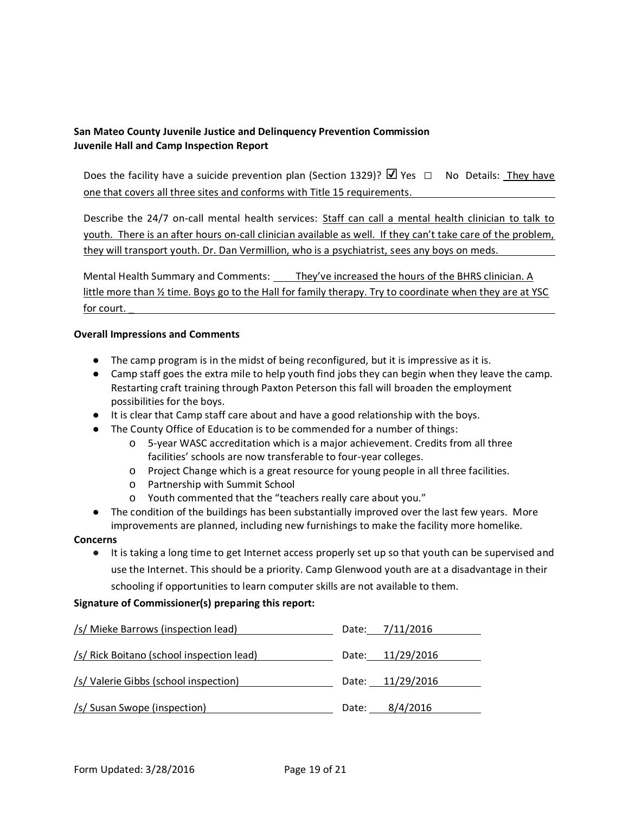Does the facility have a suicide prevention plan (Section 1329)?  $\Box$  Yes  $\Box$  No Details: They have one that covers all three sites and conforms with Title 15 requirements.

Describe the 24/7 on-call mental health services: Staff can call a mental health clinician to talk to youth. There is an after hours on-call clinician available as well. If they can't take care of the problem, they will transport youth. Dr. Dan Vermillion, who is a psychiatrist, sees any boys on meds.

Mental Health Summary and Comments: They've increased the hours of the BHRS clinician. A little more than  $\frac{1}{2}$  time. Boys go to the Hall for family therapy. Try to coordinate when they are at YSC for court.

#### **Overall Impressions and Comments**

- The camp program is in the midst of being reconfigured, but it is impressive as it is.
- Camp staff goes the extra mile to help youth find jobs they can begin when they leave the camp. Restarting craft training through Paxton Peterson this fall will broaden the employment possibilities for the boys.
- It is clear that Camp staff care about and have a good relationship with the boys.
- The County Office of Education is to be commended for a number of things:
	- o 5-year WASC accreditation which is a major achievement. Credits from all three facilities' schools are now transferable to four-year colleges.
	- o Project Change which is a great resource for young people in all three facilities.
	- o Partnership with Summit School
	- o Youth commented that the "teachers really care about you."
- The condition of the buildings has been substantially improved over the last few years. More improvements are planned, including new furnishings to make the facility more homelike.

#### **Concerns**

● It is taking a long time to get Internet access properly set up so that youth can be supervised and use the Internet. This should be a priority. Camp Glenwood youth are at a disadvantage in their schooling if opportunities to learn computer skills are not available to them.

### **Signature of Commissioner(s) preparing this report:**

| /s/ Mieke Barrows (inspection lead)       | Date: 7/11/2016  |
|-------------------------------------------|------------------|
| /s/ Rick Boitano (school inspection lead) | Date: 11/29/2016 |
| /s/ Valerie Gibbs (school inspection)     | Date: 11/29/2016 |
| /s/ Susan Swope (inspection)              | Date: 8/4/2016   |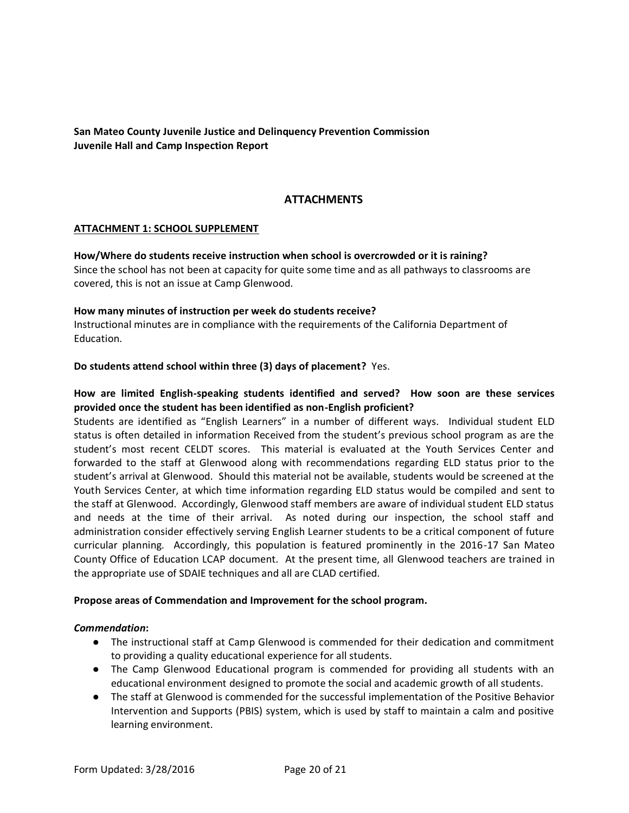## **ATTACHMENTS**

#### **ATTACHMENT 1: SCHOOL SUPPLEMENT**

**How/Where do students receive instruction when school is overcrowded or it is raining?**  Since the school has not been at capacity for quite some time and as all pathways to classrooms are covered, this is not an issue at Camp Glenwood.

#### **How many minutes of instruction per week do students receive?**

Instructional minutes are in compliance with the requirements of the California Department of Education.

#### **Do students attend school within three (3) days of placement?** Yes.

## **How are limited English-speaking students identified and served? How soon are these services provided once the student has been identified as non-English proficient?**

Students are identified as "English Learners" in a number of different ways. Individual student ELD status is often detailed in information Received from the student's previous school program as are the student's most recent CELDT scores. This material is evaluated at the Youth Services Center and forwarded to the staff at Glenwood along with recommendations regarding ELD status prior to the student's arrival at Glenwood. Should this material not be available, students would be screened at the Youth Services Center, at which time information regarding ELD status would be compiled and sent to the staff at Glenwood. Accordingly, Glenwood staff members are aware of individual student ELD status and needs at the time of their arrival. As noted during our inspection, the school staff and administration consider effectively serving English Learner students to be a critical component of future curricular planning. Accordingly, this population is featured prominently in the 2016-17 San Mateo County Office of Education LCAP document. At the present time, all Glenwood teachers are trained in the appropriate use of SDAIE techniques and all are CLAD certified.

#### **Propose areas of Commendation and Improvement for the school program.**

#### *Commendation***:**

- The instructional staff at Camp Glenwood is commended for their dedication and commitment to providing a quality educational experience for all students.
- The Camp Glenwood Educational program is commended for providing all students with an educational environment designed to promote the social and academic growth of all students.
- The staff at Glenwood is commended for the successful implementation of the Positive Behavior Intervention and Supports (PBIS) system, which is used by staff to maintain a calm and positive learning environment.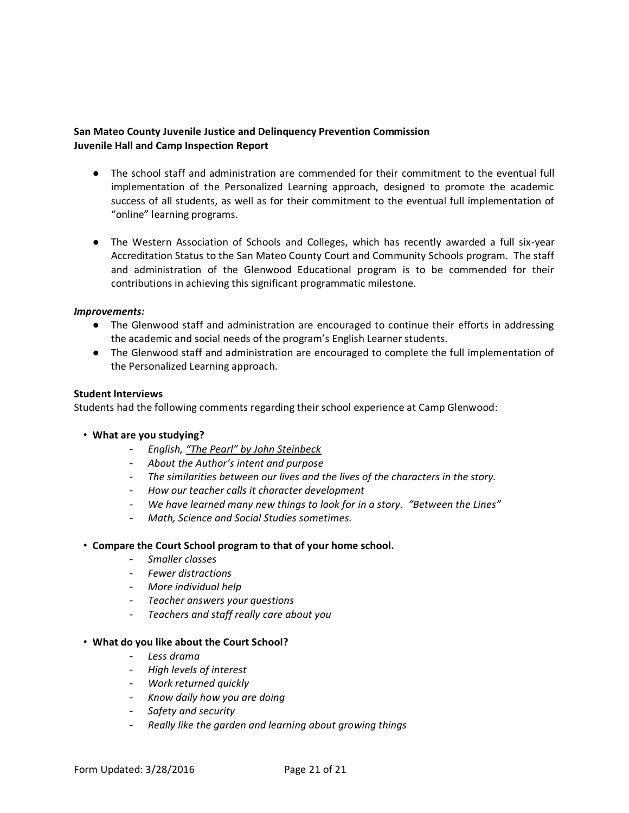- The school staff and administration are commended for their commitment to the eventual full implementation of the Personalized Learning approach, designed to promote the academic success of all students, as well as for their commitment to the eventual full implementation of "online" learning programs.
- The Western Association of Schools and Colleges, which has recently awarded a full six-year Accreditation Status to the San Mateo County Court and Community Schools program. The staff and administration of the Glenwood Educational program is to be commended for their contributions in achieving this significant programmatic milestone.

#### *Improvements:*

- The Glenwood staff and administration are encouraged to continue their efforts in addressing the academic and social needs of the program's English Learner students.
- The Glenwood staff and administration are encouraged to complete the full implementation of the Personalized Learning approach.

#### **Student Interviews**

Students had the following comments regarding their school experience at Camp Glenwood:

- **What are you studying?** 
	- *English, "The Pearl" by John Steinbeck*
	- *About the Author's intent and purpose*
	- *The similarities between our lives and the lives of the characters in the story.*
	- *How our teacher calls it character development*
	- *We have learned many new things to look for in a story. "Between the Lines"*
	- *Math, Science and Social Studies sometimes.*

#### • **Compare the Court School program to that of your home school.**

- *Smaller classes*
- *Fewer distractions*
- *More individual help*
- *Teacher answers your questions*
- *Teachers and staff really care about you*
- **What do you like about the Court School?** 
	- *Less drama*
	- *High levels of interest*
	- *Work returned quickly*
	- *Know daily how you are doing*
	- *Safety and security*
	- *Really like the garden and learning about growing things*